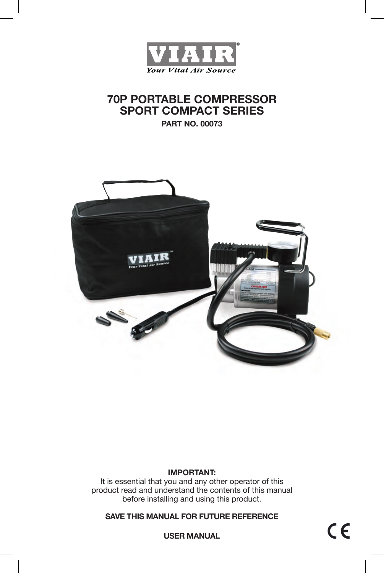

# **70P PORTABLE COMPRESSOR SPORT COMPACT SERIES**

**PART NO. 00073**



### **IMPORTANT:**

It is essential that you and any other operator of this product read and understand the contents of this manual before installing and using this product.

**SAVE THIS MANUAL FOR FUTURE REFERENCE**

 $C \in$ 

**USER MANUAL**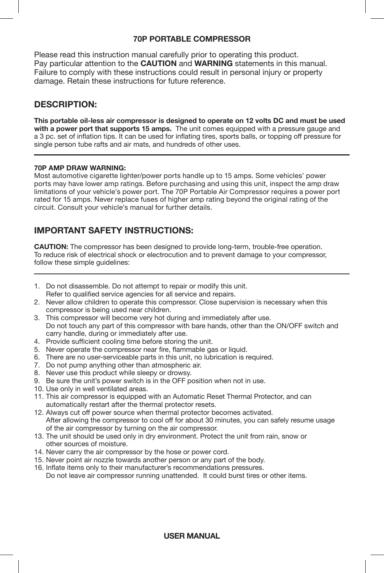### **70P PORTABLE COMPRESSOR**

Please read this instruction manual carefully prior to operating this product. Pay particular attention to the **CAUTION** and **WARNING** statements in this manual. Failure to comply with these instructions could result in personal injury or property damage. Retain these instructions for future reference.

## **DESCRIPTION:**

**This portable oil-less air compressor is designed to operate on 12 volts DC and must be used with a power port that supports 15 amps.** The unit comes equipped with a pressure gauge and a 3 pc. set of inflation tips. It can be used for inflating tires, sports balls, or topping off pressure for single person tube rafts and air mats, and hundreds of other uses.

#### **70P AMP DRAW WARNING:**

Most automotive cigarette lighter/power ports handle up to 15 amps. Some vehicles' power ports may have lower amp ratings. Before purchasing and using this unit, inspect the amp draw limitations of your vehicle's power port. The 70P Portable Air Compressor requires a power port rated for 15 amps. Never replace fuses of higher amp rating beyond the original rating of the circuit. Consult your vehicle's manual for further details.

## **IMPORTANT SAFETY INSTRUCTIONS:**

**CAUTION:** The compressor has been designed to provide long-term, trouble-free operation. To reduce risk of electrical shock or electrocution and to prevent damage to your compressor, follow these simple quidelines:

- 1. Do not disassemble. Do not attempt to repair or modify this unit. Refer to qualified service agencies for all service and repairs.
- 2. Never allow children to operate this compressor. Close supervision is necessary when this compressor is being used near children.
- 3. This compressor will become very hot during and immediately after use. Do not touch any part of this compressor with bare hands, other than the ON/OFF switch and carry handle, during or immediately after use.
- 4. Provide sufficient cooling time before storing the unit.
- 5. Never operate the compressor near fire, flammable gas or liquid.
- 6. There are no user-serviceable parts in this unit, no lubrication is required.
- 7. Do not pump anything other than atmospheric air.
- 8. Never use this product while sleepy or drowsy.
- 9. Be sure the unit's power switch is in the OFF position when not in use.
- 10. Use only in well ventilated areas.
- 11. This air compressor is equipped with an Automatic Reset Thermal Protector, and can automatically restart after the thermal protector resets.
- 12. Always cut off power source when thermal protector becomes activated. After allowing the compressor to cool off for about 30 minutes, you can safely resume usage of the air compressor by turning on the air compressor.
- 13. The unit should be used only in dry environment. Protect the unit from rain, snow or other sources of moisture.
- 14. Never carry the air compressor by the hose or power cord.
- 15. Never point air nozzle towards another person or any part of the body.
- 16. Inflate items only to their manufacturer's recommendations pressures. Do not leave air compressor running unattended. It could burst tires or other items.

### **USER MANUAL**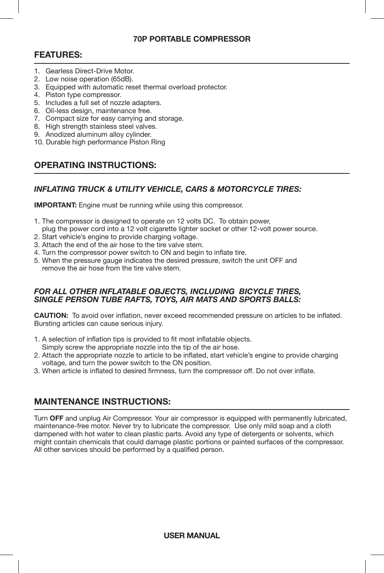### **70P PORTABLE COMPRESSOR**

### **FEATURES:**

- 1. Gearless Direct-Drive Motor.
- 2. Low noise operation (65dB).
- 3. Equipped with automatic reset thermal overload protector.
- 4. Piston type compressor.
- 5. Includes a full set of nozzle adapters.
- 6. Oil-less design, maintenance free.
- 7. Compact size for easy carrying and storage.
- 8. High strength stainless steel valves.
- 9. Anodized aluminum alloy cylinder.
- 10. Durable high performance Piston Ring

## **OPERATING INSTRUCTIONS:**

### *INFLATING TRUCK & UTILITY VEHICLE, CARS & MOTORCYCLE TIRES:*

**IMPORTANT:** Engine must be running while using this compressor.

- 1. The compressor is designed to operate on 12 volts DC. To obtain power, plug the power cord into a 12 volt cigarette lighter socket or other 12-volt power source.
- 2. Start vehicle's engine to provide charging voltage.
- 3. Attach the end of the air hose to the tire valve stem.
- 4. Turn the compressor power switch to ON and begin to inflate tire.
- 5. When the pressure gauge indicates the desired pressure, switch the unit OFF and remove the air hose from the tire valve stem.

#### *FOR ALL OTHER INFLATABLE OBJECTS, INCLUDING BICYCLE TIRES, SINGLE PERSON TUBE RAFTS, TOYS, AIR MATS AND SPORTS BALLS:*

**CAUTION:** To avoid over inflation, never exceed recommended pressure on articles to be inflated. Bursting articles can cause serious injury.

- 1. A selection of inflation tips is provided to fit most inflatable objects.
- Simply screw the appropriate nozzle into the tip of the air hose.
- 2. Attach the appropriate nozzle to article to be inflated, start vehicle's engine to provide charging voltage, and turn the power switch to the ON position.
- 3. When article is inflated to desired firmness, turn the compressor off. Do not over inflate.

### **MAINTENANCE INSTRUCTIONS:**

Turn **OFF** and unplug Air Compressor. Your air compressor is equipped with permanently lubricated, maintenance-free motor. Never try to lubricate the compressor. Use only mild soap and a cloth dampened with hot water to clean plastic parts. Avoid any type of detergents or solvents, which might contain chemicals that could damage plastic portions or painted surfaces of the compressor. All other services should be performed by a qualified person.

**USER MANUAL**